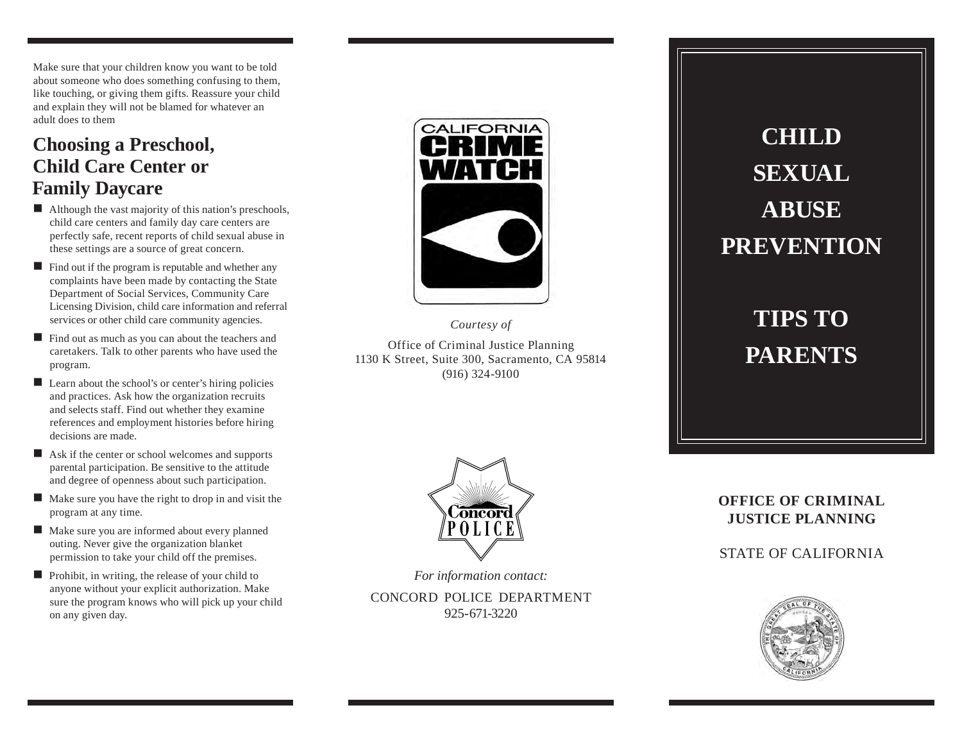Make sure that your children know you want to be told about someone who does something confusing to them, like touching, or giving them gifts. Reassure your child and explain they will not be blamed for whatever an adult does to them

### **Choosing a Preschool, Child Care Center or Family Daycare**

- Although the vast majority of this nation's preschools, child care centers and family day care centers are perfectly safe, recent reports of child sexual abuse in these settings are a source of great concern.
- $\blacksquare$  Find out if the program is reputable and whether any complaints have been made by contacting the State Department of Social Services, Community Care Licensing Division, child care information and referral services or other child care community agencies.
- Find out as much as you can about the teachers and caretakers. Talk to other parents who have used the program.
- Learn about the school's or center's hiring policies and practices. Ask how the organization recruits and selects staff. Find out whether they examine references and employment histories before hiring decisions are made.
- Ask if the center or school welcomes and supports parental participation. Be sensitive to the attitude and degree of openness about such participation.
- $\blacksquare$  Make sure you have the right to drop in and visit the program at any time.
- Make sure you are informed about every planned outing. Never give the organization blanket permission to take your child off the premises.
- Prohibit, in writing, the release of your child to anyone without your explicit authorization. Make sure the program knows who will pick up your child on any given day.



*Courtesy of* Office of Criminal Justice Planning 1130 K Street, Suite 300, Sacramento, CA 95814 (916) 324-9100

# **CHILD SEXUAL ABUSE PREVENTION**

**TIPS TO PARENTS**



*For information contact:*

CONCORD POLICE DEPARTMENT 925-671-3220

#### **OFFICE OF CRIMINAL JUSTICE PLANNING**

STATE OF CALIFORNIA